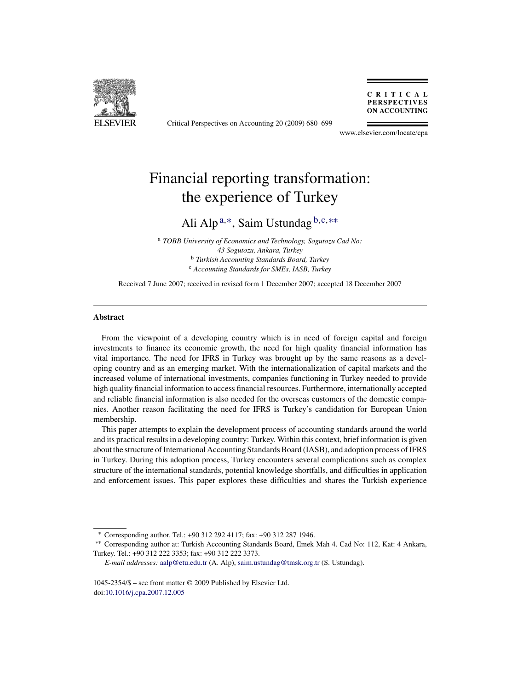

Critical Perspectives on Accounting 20 (2009) 680–699

CRITICAL **PERSPECTIVES ON ACCOUNTING** 

www.elsevier.com/locate/cpa

## Financial reporting transformation: the experience of Turkey

### Ali Alp <sup>a</sup>,∗, Saim Ustundag <sup>b</sup>,c,∗∗

<sup>a</sup> *TOBB University of Economics and Technology, Sogutozu Cad No: 43 Sogutozu, Ankara, Turkey* <sup>b</sup> *Turkish Accounting Standards Board, Turkey* <sup>c</sup> *Accounting Standards for SMEs, IASB, Turkey*

Received 7 June 2007; received in revised form 1 December 2007; accepted 18 December 2007

#### **Abstract**

From the viewpoint of a developing country which is in need of foreign capital and foreign investments to finance its economic growth, the need for high quality financial information has vital importance. The need for IFRS in Turkey was brought up by the same reasons as a developing country and as an emerging market. With the internationalization of capital markets and the increased volume of international investments, companies functioning in Turkey needed to provide high quality financial information to access financial resources. Furthermore, internationally accepted and reliable financial information is also needed for the overseas customers of the domestic companies. Another reason facilitating the need for IFRS is Turkey's candidation for European Union membership.

This paper attempts to explain the development process of accounting standards around the world and its practical results in a developing country: Turkey. Within this context, brief information is given about the structure of International Accounting Standards Board (IASB), and adoption process of IFRS in Turkey. During this adoption process, Turkey encounters several complications such as complex structure of the international standards, potential knowledge shortfalls, and difficulties in application and enforcement issues. This paper explores these difficulties and shares the Turkish experience

<sup>∗</sup> Corresponding author. Tel.: +90 312 292 4117; fax: +90 312 287 1946.

<sup>∗∗</sup> Corresponding author at: Turkish Accounting Standards Board, Emek Mah 4. Cad No: 112, Kat: 4 Ankara, Turkey. Tel.: +90 312 222 3353; fax: +90 312 222 3373.

*E-mail addresses:* [aalp@etu.edu.tr](mailto:aalp@etu.edu.tr) (A. Alp), [saim.ustundag@tmsk.org.tr](mailto:saim.ustundag@tmsk.org.tr) (S. Ustundag).

<sup>1045-2354/\$ –</sup> see front matter © 2009 Published by Elsevier Ltd. doi[:10.1016/j.cpa.2007.12.005](dx.doi.org/10.1016/j.cpa.2007.12.005)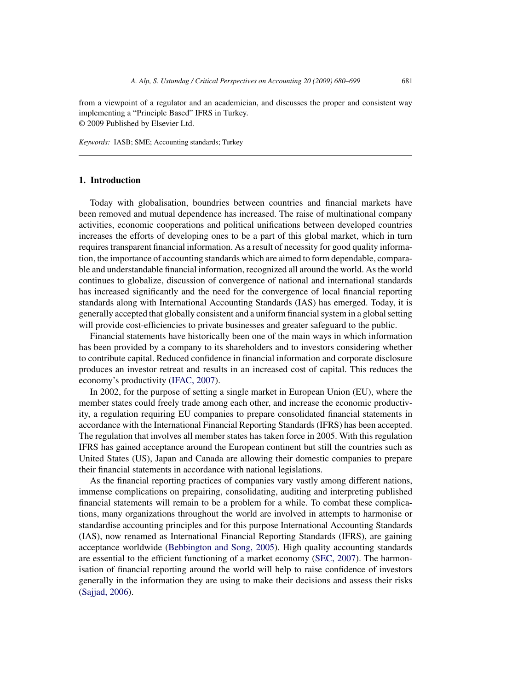from a viewpoint of a regulator and an academician, and discusses the proper and consistent way implementing a "Principle Based" IFRS in Turkey. © 2009 Published by Elsevier Ltd.

*Keywords:* IASB; SME; Accounting standards; Turkey

#### **1. Introduction**

Today with globalisation, boundries between countries and financial markets have been removed and mutual dependence has increased. The raise of multinational company activities, economic cooperations and political unifications between developed countries increases the efforts of developing ones to be a part of this global market, which in turn requires transparent financial information. As a result of necessity for good quality information, the importance of accounting standards which are aimed to form dependable, comparable and understandable financial information, recognized all around the world. As the world continues to globalize, discussion of convergence of national and international standards has increased significantly and the need for the convergence of local financial reporting standards along with International Accounting Standards (IAS) has emerged. Today, it is generally accepted that globally consistent and a uniform financial system in a global setting will provide cost-efficiencies to private businesses and greater safeguard to the public.

Financial statements have historically been one of the main ways in which information has been provided by a company to its shareholders and to investors considering whether to contribute capital. Reduced confidence in financial information and corporate disclosure produces an investor retreat and results in an increased cost of capital. This reduces the economy's productivity ([IFAC, 2007\).](#page--1-0)

In 2002, for the purpose of setting a single market in European Union (EU), where the member states could freely trade among each other, and increase the economic productivity, a regulation requiring EU companies to prepare consolidated financial statements in accordance with the International Financial Reporting Standards (IFRS) has been accepted. The regulation that involves all member states has taken force in 2005. With this regulation IFRS has gained acceptance around the European continent but still the countries such as United States (US), Japan and Canada are allowing their domestic companies to prepare their financial statements in accordance with national legislations.

As the financial reporting practices of companies vary vastly among different nations, immense complications on prepairing, consolidating, auditing and interpreting published financial statements will remain to be a problem for a while. To combat these complications, many organizations throughout the world are involved in attempts to harmonise or standardise accounting principles and for this purpose International Accounting Standards (IAS), now renamed as International Financial Reporting Standards (IFRS), are gaining acceptance worldwide [\(Bebbington and Song, 2005\).](#page--1-0) High quality accounting standards are essential to the efficient functioning of a market economy ([SEC, 2007\).](#page--1-0) The harmonisation of financial reporting around the world will help to raise confidence of investors generally in the information they are using to make their decisions and assess their risks [\(Sajjad, 2006\).](#page--1-0)